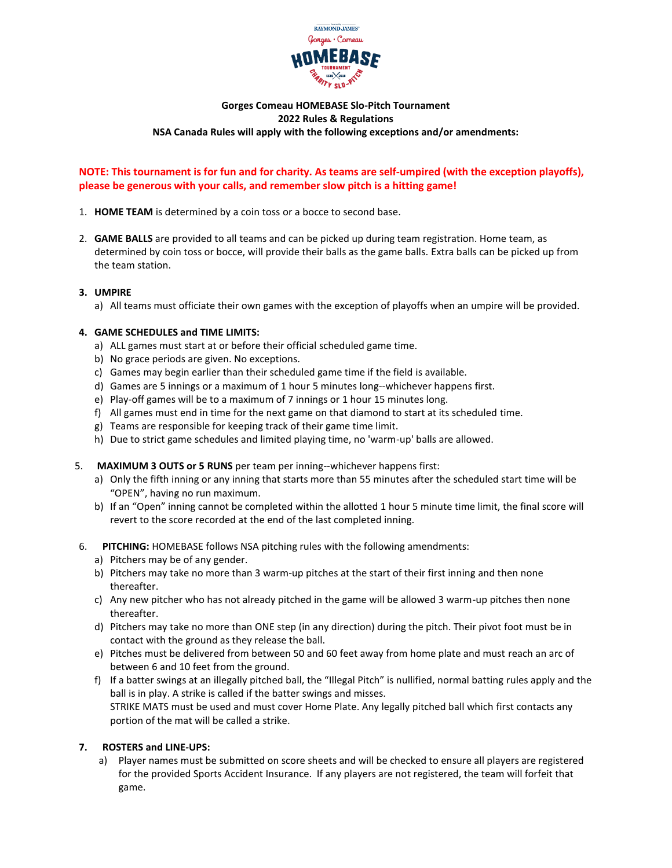

#### **Gorges Comeau HOMEBASE Slo-Pitch Tournament 2022 Rules & Regulations NSA Canada Rules will apply with the following exceptions and/or amendments:**

# **NOTE: This tournament is for fun and for charity. As teams are self-umpired (with the exception playoffs), please be generous with your calls, and remember slow pitch is a hitting game!**

- 1. **HOME TEAM** is determined by a coin toss or a bocce to second base.
- 2. **GAME BALLS** are provided to all teams and can be picked up during team registration. Home team, as determined by coin toss or bocce, will provide their balls as the game balls. Extra balls can be picked up from the team station.

### **3. UMPIRE**

a) All teams must officiate their own games with the exception of playoffs when an umpire will be provided.

#### **4. GAME SCHEDULES and TIME LIMITS:**

- a) ALL games must start at or before their official scheduled game time.
- b) No grace periods are given. No exceptions.
- c) Games may begin earlier than their scheduled game time if the field is available.
- d) Games are 5 innings or a maximum of 1 hour 5 minutes long--whichever happens first.
- e) Play-off games will be to a maximum of 7 innings or 1 hour 15 minutes long.
- f) All games must end in time for the next game on that diamond to start at its scheduled time.
- g) Teams are responsible for keeping track of their game time limit.
- h) Due to strict game schedules and limited playing time, no 'warm-up' balls are allowed.
- 5. **MAXIMUM 3 OUTS or 5 RUNS** per team per inning--whichever happens first:
	- a) Only the fifth inning or any inning that starts more than 55 minutes after the scheduled start time will be "OPEN", having no run maximum.
	- b) If an "Open" inning cannot be completed within the allotted 1 hour 5 minute time limit, the final score will revert to the score recorded at the end of the last completed inning.
- 6. **PITCHING:** HOMEBASE follows NSA pitching rules with the following amendments:
	- a) Pitchers may be of any gender.
	- b) Pitchers may take no more than 3 warm-up pitches at the start of their first inning and then none thereafter.
	- c) Any new pitcher who has not already pitched in the game will be allowed 3 warm-up pitches then none thereafter.
	- d) Pitchers may take no more than ONE step (in any direction) during the pitch. Their pivot foot must be in contact with the ground as they release the ball.
	- e) Pitches must be delivered from between 50 and 60 feet away from home plate and must reach an arc of between 6 and 10 feet from the ground.
	- f) If a batter swings at an illegally pitched ball, the "Illegal Pitch" is nullified, normal batting rules apply and the ball is in play. A strike is called if the batter swings and misses. STRIKE MATS must be used and must cover Home Plate. Any legally pitched ball which first contacts any portion of the mat will be called a strike.

#### **7. ROSTERS and LINE-UPS:**

a) Player names must be submitted on score sheets and will be checked to ensure all players are registered for the provided Sports Accident Insurance. If any players are not registered, the team will forfeit that game.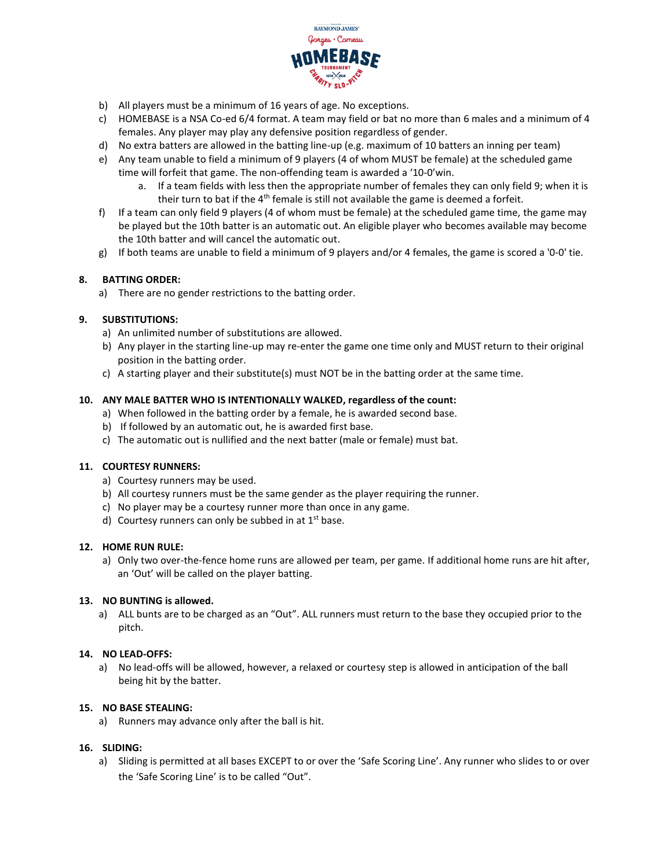

- b) All players must be a minimum of 16 years of age. No exceptions.
- c) HOMEBASE is a NSA Co-ed 6/4 format. A team may field or bat no more than 6 males and a minimum of 4 females. Any player may play any defensive position regardless of gender.
- d) No extra batters are allowed in the batting line-up (e.g. maximum of 10 batters an inning per team)
- e) Any team unable to field a minimum of 9 players (4 of whom MUST be female) at the scheduled game time will forfeit that game. The non-offending team is awarded a '10-0'win.
	- a. If a team fields with less then the appropriate number of females they can only field 9; when it is their turn to bat if the  $4<sup>th</sup>$  female is still not available the game is deemed a forfeit.
- f) If a team can only field 9 players (4 of whom must be female) at the scheduled game time, the game may be played but the 10th batter is an automatic out. An eligible player who becomes available may become the 10th batter and will cancel the automatic out.
- g) If both teams are unable to field a minimum of 9 players and/or 4 females, the game is scored a '0-0' tie.

## **8. BATTING ORDER:**

a) There are no gender restrictions to the batting order.

## **9. SUBSTITUTIONS:**

- a) An unlimited number of substitutions are allowed.
- b) Any player in the starting line-up may re-enter the game one time only and MUST return to their original position in the batting order.
- c) A starting player and their substitute(s) must NOT be in the batting order at the same time.

### **10. ANY MALE BATTER WHO IS INTENTIONALLY WALKED, regardless of the count:**

- a) When followed in the batting order by a female, he is awarded second base.
- b) If followed by an automatic out, he is awarded first base.
- c) The automatic out is nullified and the next batter (male or female) must bat.

### **11. COURTESY RUNNERS:**

- a) Courtesy runners may be used.
- b) All courtesy runners must be the same gender as the player requiring the runner.
- c) No player may be a courtesy runner more than once in any game.
- d) Courtesy runners can only be subbed in at  $1<sup>st</sup>$  base.

### **12. HOME RUN RULE:**

a) Only two over-the-fence home runs are allowed per team, per game. If additional home runs are hit after, an 'Out' will be called on the player batting.

### **13. NO BUNTING is allowed.**

a) ALL bunts are to be charged as an "Out". ALL runners must return to the base they occupied prior to the pitch.

### **14. NO LEAD-OFFS:**

a) No lead-offs will be allowed, however, a relaxed or courtesy step is allowed in anticipation of the ball being hit by the batter.

### **15. NO BASE STEALING:**

a) Runners may advance only after the ball is hit.

### **16. SLIDING:**

a) Sliding is permitted at all bases EXCEPT to or over the 'Safe Scoring Line'. Any runner who slides to or over the 'Safe Scoring Line' is to be called "Out".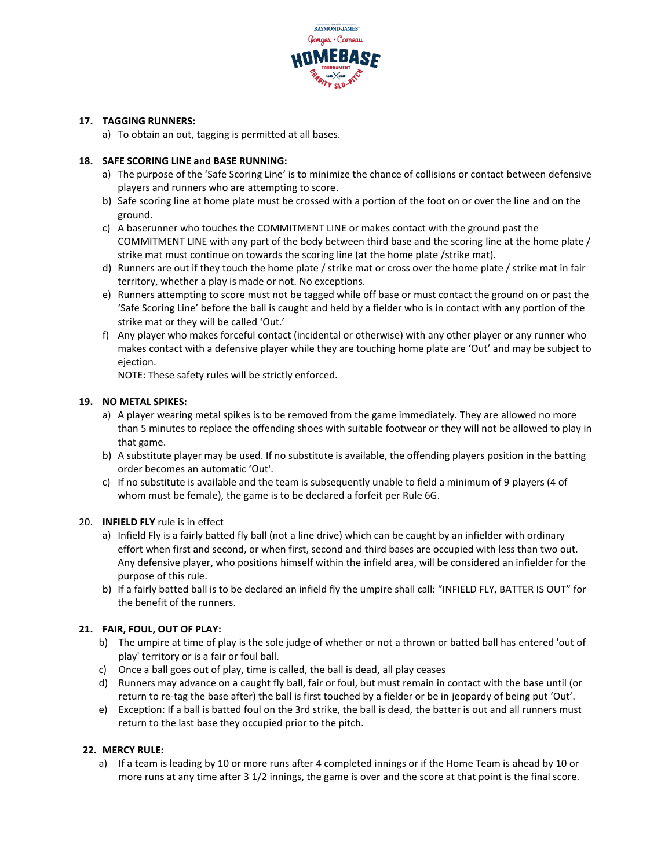

## **17. TAGGING RUNNERS:**

a) To obtain an out, tagging is permitted at all bases.

## **18. SAFE SCORING LINE and BASE RUNNING:**

- a) The purpose of the 'Safe Scoring Line' is to minimize the chance of collisions or contact between defensive players and runners who are attempting to score.
- b) Safe scoring line at home plate must be crossed with a portion of the foot on or over the line and on the ground.
- c) A baserunner who touches the COMMITMENT LINE or makes contact with the ground past the COMMITMENT LINE with any part of the body between third base and the scoring line at the home plate / strike mat must continue on towards the scoring line (at the home plate /strike mat).
- d) Runners are out if they touch the home plate / strike mat or cross over the home plate / strike mat in fair territory, whether a play is made or not. No exceptions.
- e) Runners attempting to score must not be tagged while off base or must contact the ground on or past the 'Safe Scoring Line' before the ball is caught and held by a fielder who is in contact with any portion of the strike mat or they will be called 'Out.'
- f) Any player who makes forceful contact (incidental or otherwise) with any other player or any runner who makes contact with a defensive player while they are touching home plate are 'Out' and may be subject to ejection.

NOTE: These safety rules will be strictly enforced.

## **19. NO METAL SPIKES:**

- a) A player wearing metal spikes is to be removed from the game immediately. They are allowed no more than 5 minutes to replace the offending shoes with suitable footwear or they will not be allowed to play in that game.
- b) A substitute player may be used. If no substitute is available, the offending players position in the batting order becomes an automatic 'Out'.
- c) If no substitute is available and the team is subsequently unable to field a minimum of 9 players (4 of whom must be female), the game is to be declared a forfeit per Rule 6G.

### 20. **INFIELD FLY** rule is in effect

- a) Infield Fly is a fairly batted fly ball (not a line drive) which can be caught by an infielder with ordinary effort when first and second, or when first, second and third bases are occupied with less than two out. Any defensive player, who positions himself within the infield area, will be considered an infielder for the purpose of this rule.
- b) If a fairly batted ball is to be declared an infield fly the umpire shall call: "INFIELD FLY, BATTER IS OUT" for the benefit of the runners.

# **21. FAIR, FOUL, OUT OF PLAY:**

- b) The umpire at time of play is the sole judge of whether or not a thrown or batted ball has entered 'out of play' territory or is a fair or foul ball.
- c) Once a ball goes out of play, time is called, the ball is dead, all play ceases
- d) Runners may advance on a caught fly ball, fair or foul, but must remain in contact with the base until (or return to re-tag the base after) the ball is first touched by a fielder or be in jeopardy of being put 'Out'.
- e) Exception: If a ball is batted foul on the 3rd strike, the ball is dead, the batter is out and all runners must return to the last base they occupied prior to the pitch.

### **22. MERCY RULE:**

a) If a team is leading by 10 or more runs after 4 completed innings or if the Home Team is ahead by 10 or more runs at any time after 3 1/2 innings, the game is over and the score at that point is the final score.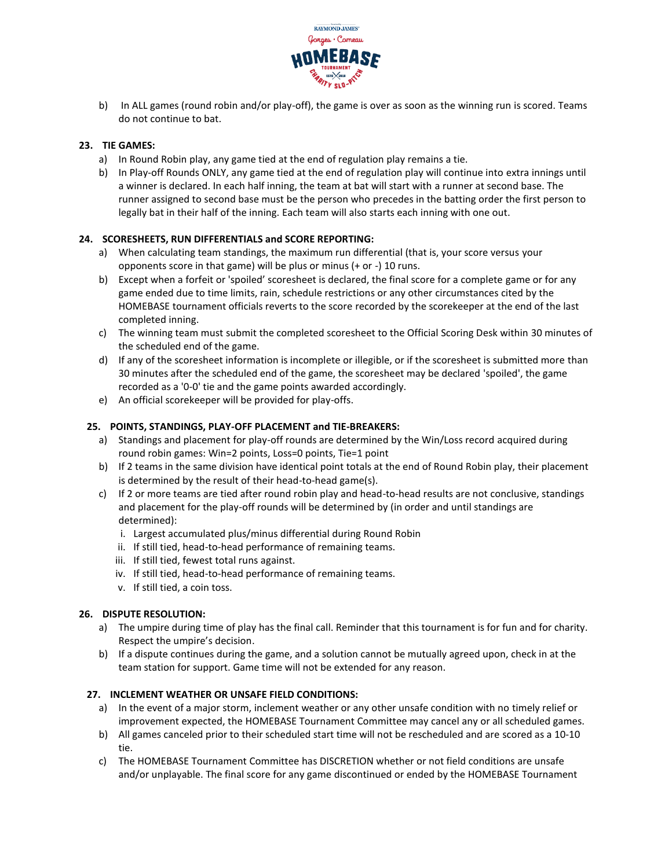

b) In ALL games (round robin and/or play-off), the game is over as soon as the winning run is scored. Teams do not continue to bat.

### **23. TIE GAMES:**

- a) In Round Robin play, any game tied at the end of regulation play remains a tie.
- b) In Play-off Rounds ONLY, any game tied at the end of regulation play will continue into extra innings until a winner is declared. In each half inning, the team at bat will start with a runner at second base. The runner assigned to second base must be the person who precedes in the batting order the first person to legally bat in their half of the inning. Each team will also starts each inning with one out.

## **24. SCORESHEETS, RUN DIFFERENTIALS and SCORE REPORTING:**

- a) When calculating team standings, the maximum run differential (that is, your score versus your opponents score in that game) will be plus or minus (+ or -) 10 runs.
- b) Except when a forfeit or 'spoiled' scoresheet is declared, the final score for a complete game or for any game ended due to time limits, rain, schedule restrictions or any other circumstances cited by the HOMEBASE tournament officials reverts to the score recorded by the scorekeeper at the end of the last completed inning.
- c) The winning team must submit the completed scoresheet to the Official Scoring Desk within 30 minutes of the scheduled end of the game.
- d) If any of the scoresheet information is incomplete or illegible, or if the scoresheet is submitted more than 30 minutes after the scheduled end of the game, the scoresheet may be declared 'spoiled', the game recorded as a '0-0' tie and the game points awarded accordingly.
- e) An official scorekeeper will be provided for play-offs.

## **25. POINTS, STANDINGS, PLAY-OFF PLACEMENT and TIE-BREAKERS:**

- a) Standings and placement for play-off rounds are determined by the Win/Loss record acquired during round robin games: Win=2 points, Loss=0 points, Tie=1 point
- b) If 2 teams in the same division have identical point totals at the end of Round Robin play, their placement is determined by the result of their head-to-head game(s).
- c) If 2 or more teams are tied after round robin play and head-to-head results are not conclusive, standings and placement for the play-off rounds will be determined by (in order and until standings are determined):
	- i. Largest accumulated plus/minus differential during Round Robin
	- ii. If still tied, head-to-head performance of remaining teams.
	- iii. If still tied, fewest total runs against.
	- iv. If still tied, head-to-head performance of remaining teams.
	- v. If still tied, a coin toss.

### **26. DISPUTE RESOLUTION:**

- a) The umpire during time of play has the final call. Reminder that this tournament is for fun and for charity. Respect the umpire's decision.
- b) If a dispute continues during the game, and a solution cannot be mutually agreed upon, check in at the team station for support. Game time will not be extended for any reason.

### **27. INCLEMENT WEATHER OR UNSAFE FIELD CONDITIONS:**

- a) In the event of a major storm, inclement weather or any other unsafe condition with no timely relief or improvement expected, the HOMEBASE Tournament Committee may cancel any or all scheduled games.
- b) All games canceled prior to their scheduled start time will not be rescheduled and are scored as a 10-10 tie.
- c) The HOMEBASE Tournament Committee has DISCRETION whether or not field conditions are unsafe and/or unplayable. The final score for any game discontinued or ended by the HOMEBASE Tournament